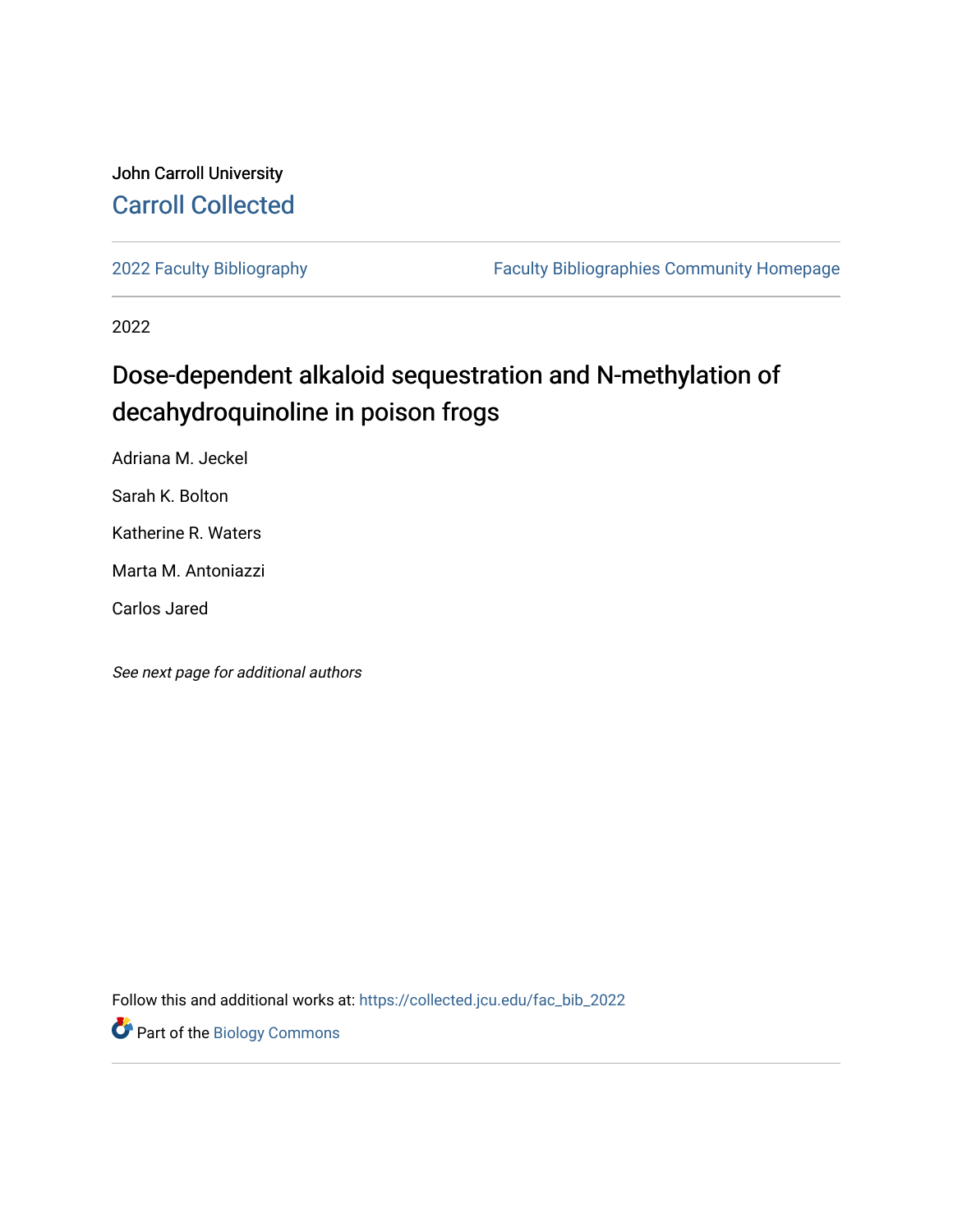## John Carroll University [Carroll Collected](https://collected.jcu.edu/)

[2022 Faculty Bibliography](https://collected.jcu.edu/fac_bib_2022) [Faculty Bibliographies Community Homepage](https://collected.jcu.edu/fac_bib_home) 

2022

# Dose-dependent alkaloid sequestration and N-methylation of decahydroquinoline in poison frogs

Adriana M. Jeckel

Sarah K. Bolton

Katherine R. Waters

Marta M. Antoniazzi

Carlos Jared

See next page for additional authors

Follow this and additional works at: [https://collected.jcu.edu/fac\\_bib\\_2022](https://collected.jcu.edu/fac_bib_2022?utm_source=collected.jcu.edu%2Ffac_bib_2022%2F13&utm_medium=PDF&utm_campaign=PDFCoverPages) 

**Part of the Biology Commons**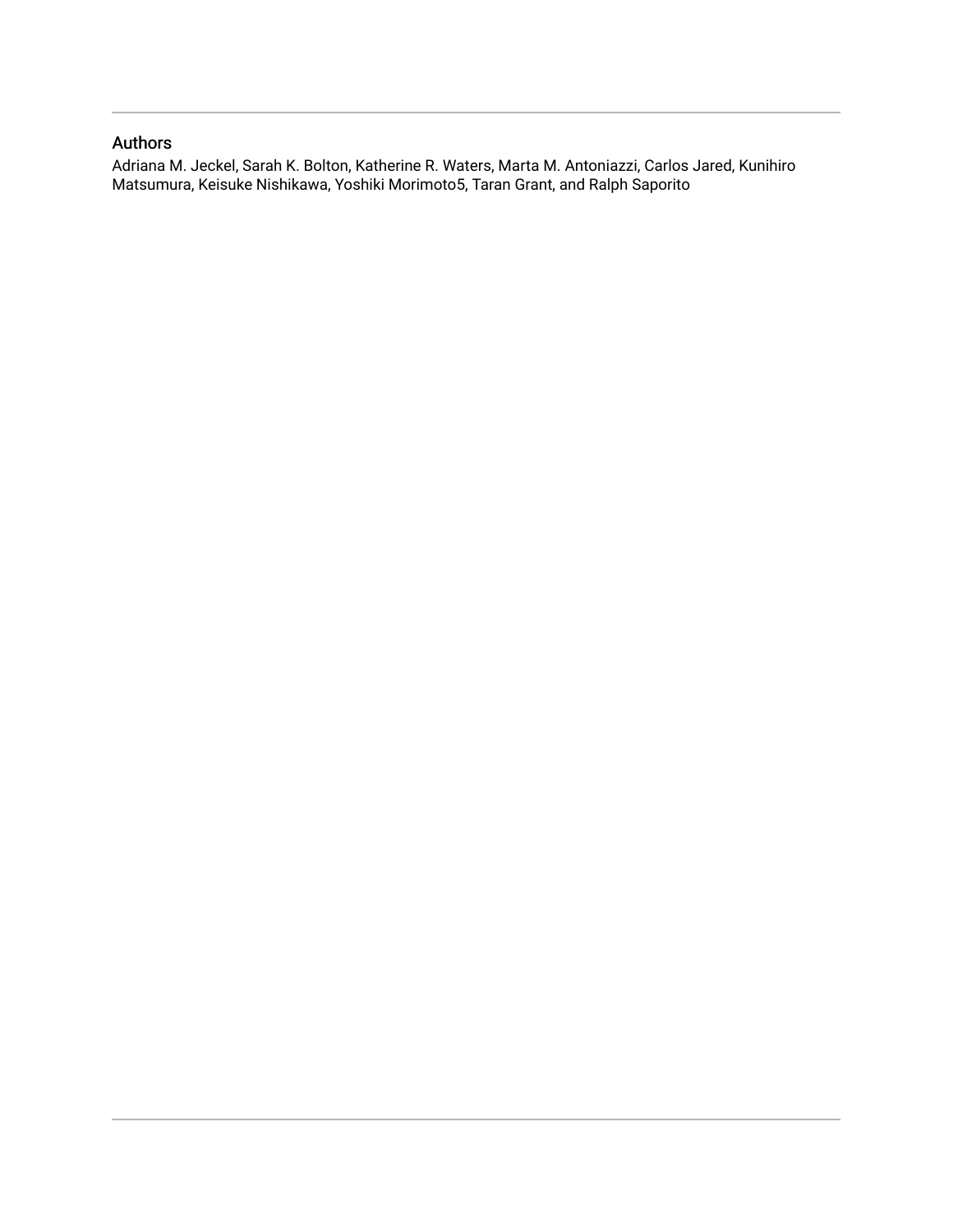## Authors

Adriana M. Jeckel, Sarah K. Bolton, Katherine R. Waters, Marta M. Antoniazzi, Carlos Jared, Kunihiro Matsumura, Keisuke Nishikawa, Yoshiki Morimoto5, Taran Grant, and Ralph Saporito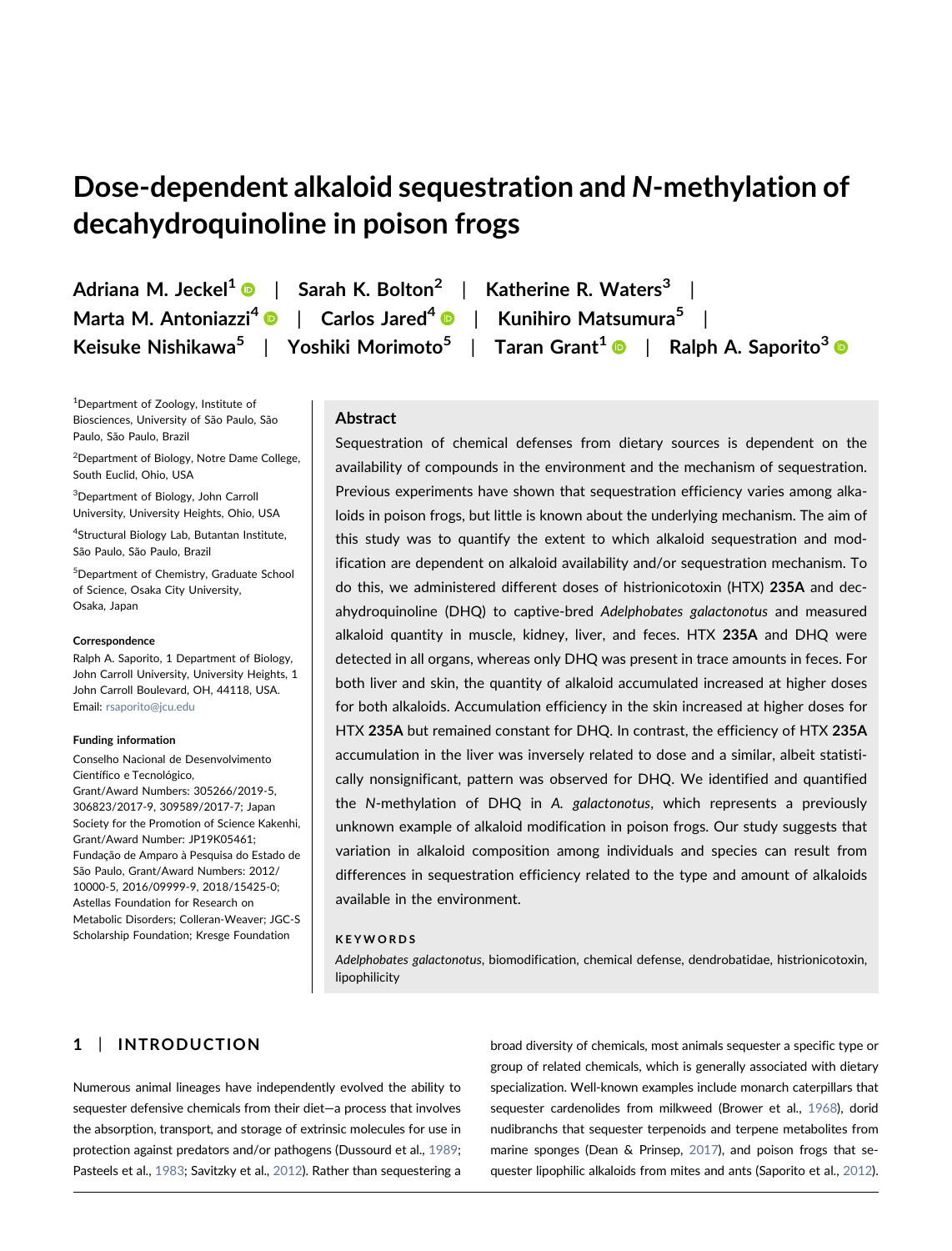## Dose‐dependent alkaloid sequestration and N‐methylation of decahydroquinoline in poison frogs

1 Department of Zoology, Institute of Biosciences, University of São Paulo, São Paulo, São Paulo, Brazil

<sup>2</sup> Department of Biology, Notre Dame College, South Euclid, Ohio, USA

3 Department of Biology, John Carroll University, University Heights, Ohio, USA

4 Structural Biology Lab, Butantan Institute, São Paulo, São Paulo, Brazil

5 Department of Chemistry, Graduate School of Science, Osaka City University, Osaka, Japan

#### Correspondence

Ralph A. Saporito, 1 Department of Biology, John Carroll University, University Heights, 1 John Carroll Boulevard, OH, 44118, USA. Email: [rsaporito@jcu.edu](mailto:rsaporito@jcu.edu)

#### Funding information

Conselho Nacional de Desenvolvimento Científico e Tecnológico, Grant/Award Numbers: 305266/2019‐5, 306823/2017‐9, 309589/2017‐7; Japan Society for the Promotion of Science Kakenhi, Grant/Award Number: JP19K05461; Fundação de Amparo à Pesquisa do Estado de São Paulo, Grant/Award Numbers: 2012/ 10000‐5, 2016/09999‐9, 2018/15425‐0; Astellas Foundation for Research on Metabolic Disorders; Colleran‐Weaver; JGC‐S Scholarship Foundation; Kresge Foundation

Adriana M. Jeckel<sup>1</sup>  $\bullet$  | Sarah K. Bolton<sup>2</sup> | Katherine R. Waters<sup>3</sup> | Marta M. Antoniazzi<sup>4</sup> | Carlos Jared<sup>4</sup> | Kunihiro Matsumura<sup>5</sup> | Keisuke Nishikawa<sup>5</sup> | Yoshiki Morimoto<sup>5</sup> | Taran Grant<sup>1</sup> | Ralph A. Saporito<sup>3</sup> | R

## Abstract

Sequestration of chemical defenses from dietary sources is dependent on the availability of compounds in the environment and the mechanism of sequestration. Previous experiments have shown that sequestration efficiency varies among alkaloids in poison frogs, but little is known about the underlying mechanism. The aim of this study was to quantify the extent to which alkaloid sequestration and modification are dependent on alkaloid availability and/or sequestration mechanism. To do this, we administered different doses of histrionicotoxin (HTX) 235A and decahydroquinoline (DHQ) to captive‐bred Adelphobates galactonotus and measured alkaloid quantity in muscle, kidney, liver, and feces. HTX 235A and DHQ were detected in all organs, whereas only DHQ was present in trace amounts in feces. For both liver and skin, the quantity of alkaloid accumulated increased at higher doses for both alkaloids. Accumulation efficiency in the skin increased at higher doses for HTX 235A but remained constant for DHQ. In contrast, the efficiency of HTX 235A accumulation in the liver was inversely related to dose and a similar, albeit statistically nonsignificant, pattern was observed for DHQ. We identified and quantified the N-methylation of DHQ in A. galactonotus, which represents a previously unknown example of alkaloid modification in poison frogs. Our study suggests that variation in alkaloid composition among individuals and species can result from differences in sequestration efficiency related to the type and amount of alkaloids available in the environment.

#### KEYWORDS

Adelphobates galactonotus, biomodification, chemical defense, dendrobatidae, histrionicotoxin, lipophilicity

## 1 | INTRODUCTION

Numerous animal lineages have independently evolved the ability to sequester defensive chemicals from their diet—a process that involves the absorption, transport, and storage of extrinsic molecules for use in protection against predators and/or pathogens (Dussourd et al., [1989](#page-9-0); Pasteels et al., [1983](#page-10-0); Savitzky et al., [2012](#page-11-0)). Rather than sequestering a

broad diversity of chemicals, most animals sequester a specific type or group of related chemicals, which is generally associated with dietary specialization. Well-known examples include monarch caterpillars that sequester cardenolides from milkweed (Brower et al., [1968\)](#page-9-1), dorid nudibranchs that sequester terpenoids and terpene metabolites from marine sponges (Dean & Prinsep, [2017](#page-9-2)), and poison frogs that sequester lipophilic alkaloids from mites and ants (Saporito et al., [2012\)](#page-11-1).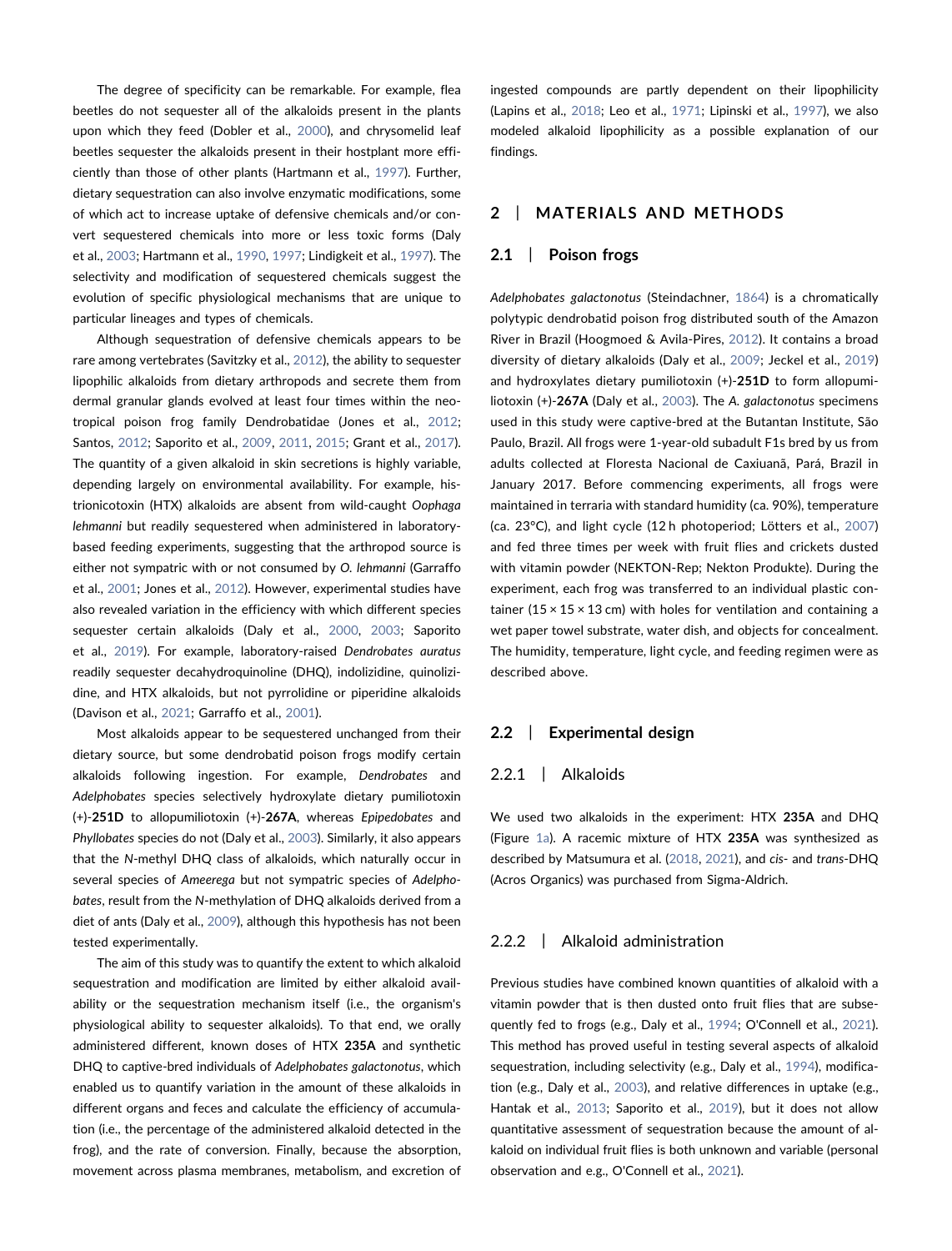The degree of specificity can be remarkable. For example, flea beetles do not sequester all of the alkaloids present in the plants upon which they feed (Dobler et al., [2000\)](#page-9-3), and chrysomelid leaf beetles sequester the alkaloids present in their hostplant more efficiently than those of other plants (Hartmann et al., [1997](#page-10-1)). Further, dietary sequestration can also involve enzymatic modifications, some of which act to increase uptake of defensive chemicals and/or convert sequestered chemicals into more or less toxic forms (Daly et al., [2003](#page-9-4); Hartmann et al., [1990](#page-10-2), [1997;](#page-10-1) Lindigkeit et al., [1997\)](#page-10-3). The selectivity and modification of sequestered chemicals suggest the evolution of specific physiological mechanisms that are unique to particular lineages and types of chemicals.

Although sequestration of defensive chemicals appears to be rare among vertebrates (Savitzky et al., [2012](#page-11-0)), the ability to sequester lipophilic alkaloids from dietary arthropods and secrete them from dermal granular glands evolved at least four times within the neotropical poison frog family Dendrobatidae (Jones et al., [2012](#page-10-4); Santos, [2012](#page-11-2); Saporito et al., [2009](#page-11-3), [2011](#page-11-4), [2015](#page-11-5); Grant et al., [2017](#page-9-5)). The quantity of a given alkaloid in skin secretions is highly variable, depending largely on environmental availability. For example, histrionicotoxin (HTX) alkaloids are absent from wild‐caught Oophaga lehmanni but readily sequestered when administered in laboratory‐ based feeding experiments, suggesting that the arthropod source is either not sympatric with or not consumed by O. lehmanni (Garraffo et al., [2001;](#page-9-6) Jones et al., [2012\)](#page-10-4). However, experimental studies have also revealed variation in the efficiency with which different species sequester certain alkaloids (Daly et al., [2000](#page-9-7), [2003;](#page-9-4) Saporito et al., [2019\)](#page-11-6). For example, laboratory-raised Dendrobates auratus readily sequester decahydroquinoline (DHQ), indolizidine, quinolizidine, and HTX alkaloids, but not pyrrolidine or piperidine alkaloids (Davison et al., [2021;](#page-9-8) Garraffo et al., [2001](#page-9-6)).

Most alkaloids appear to be sequestered unchanged from their dietary source, but some dendrobatid poison frogs modify certain alkaloids following ingestion. For example, Dendrobates and Adelphobates species selectively hydroxylate dietary pumiliotoxin (+)‐251D to allopumiliotoxin (+)‐267A, whereas Epipedobates and Phyllobates species do not (Daly et al., [2003\)](#page-9-4). Similarly, it also appears that the N‐methyl DHQ class of alkaloids, which naturally occur in several species of Ameerega but not sympatric species of Adelphobates, result from the N‐methylation of DHQ alkaloids derived from a diet of ants (Daly et al., [2009](#page-9-9)), although this hypothesis has not been tested experimentally.

The aim of this study was to quantify the extent to which alkaloid sequestration and modification are limited by either alkaloid availability or the sequestration mechanism itself (i.e., the organism's physiological ability to sequester alkaloids). To that end, we orally administered different, known doses of HTX 235A and synthetic DHQ to captive-bred individuals of Adelphobates galactonotus, which enabled us to quantify variation in the amount of these alkaloids in different organs and feces and calculate the efficiency of accumulation (i.e., the percentage of the administered alkaloid detected in the frog), and the rate of conversion. Finally, because the absorption, movement across plasma membranes, metabolism, and excretion of

ingested compounds are partly dependent on their lipophilicity (Lapins et al., [2018](#page-10-5); Leo et al., [1971;](#page-10-6) Lipinski et al., [1997\)](#page-10-7), we also modeled alkaloid lipophilicity as a possible explanation of our findings.

## 2 | MATERIALS AND METHODS

## 2.1 | Poison frogs

Adelphobates galactonotus (Steindachner, [1864\)](#page-11-7) is a chromatically polytypic dendrobatid poison frog distributed south of the Amazon River in Brazil (Hoogmoed & Avila‐Pires, [2012\)](#page-10-8). It contains a broad diversity of dietary alkaloids (Daly et al., [2009;](#page-9-9) Jeckel et al., [2019](#page-10-9)) and hydroxylates dietary pumiliotoxin (+)‐251D to form allopumi-liotoxin (+)-267A (Daly et al., [2003](#page-9-4)). The A. galactonotus specimens used in this study were captive‐bred at the Butantan Institute, São Paulo, Brazil. All frogs were 1‐year‐old subadult F1s bred by us from adults collected at Floresta Nacional de Caxiuanã, Pará, Brazil in January 2017. Before commencing experiments, all frogs were maintained in terraria with standard humidity (ca. 90%), temperature (ca. 23°C), and light cycle (12 h photoperiod; Lötters et al., [2007](#page-10-10)) and fed three times per week with fruit flies and crickets dusted with vitamin powder (NEKTON‐Rep; Nekton Produkte). During the experiment, each frog was transferred to an individual plastic container (15  $\times$  15  $\times$  13 cm) with holes for ventilation and containing a wet paper towel substrate, water dish, and objects for concealment. The humidity, temperature, light cycle, and feeding regimen were as described above.

#### 2.2 | Experimental design

## 2.2.1 | Alkaloids

We used two alkaloids in the experiment: HTX 235A and DHQ (Figure [1a\)](#page-4-0). A racemic mixture of HTX 235A was synthesized as described by Matsumura et al. ([2018](#page-10-11), [2021\)](#page-10-12), and cis- and trans-DHQ (Acros Organics) was purchased from Sigma‐Aldrich.

### 2.2.2 | Alkaloid administration

Previous studies have combined known quantities of alkaloid with a vitamin powder that is then dusted onto fruit flies that are subsequently fed to frogs (e.g., Daly et al., [1994](#page-9-10); O'Connell et al., [2021\)](#page-10-13). This method has proved useful in testing several aspects of alkaloid sequestration, including selectivity (e.g., Daly et al., [1994\)](#page-9-10), modification (e.g., Daly et al., [2003\)](#page-9-4), and relative differences in uptake (e.g., Hantak et al., [2013](#page-10-14); Saporito et al., [2019](#page-11-6)), but it does not allow quantitative assessment of sequestration because the amount of alkaloid on individual fruit flies is both unknown and variable (personal observation and e.g., O'Connell et al., [2021](#page-10-13)).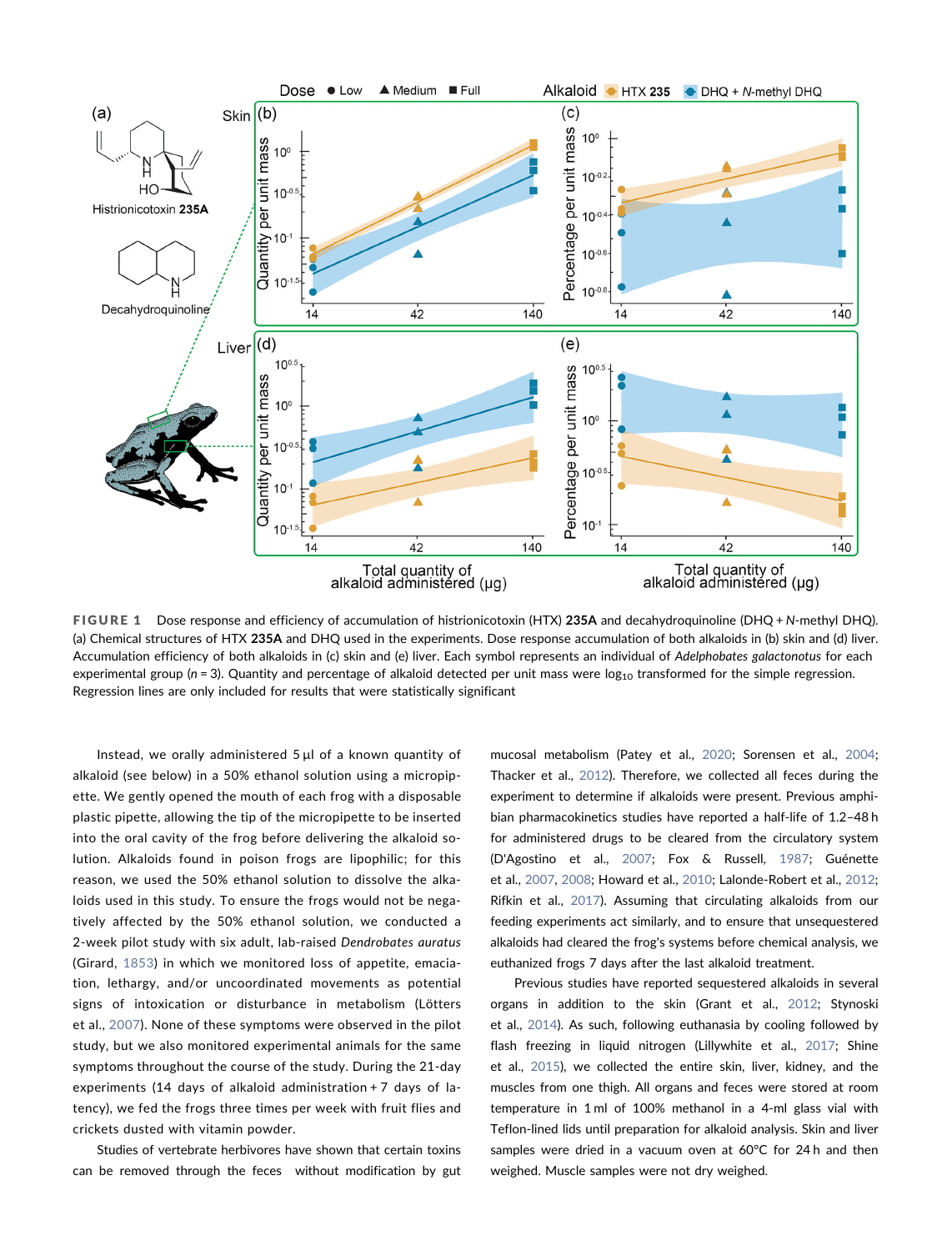<span id="page-4-0"></span>

FIGURE 1 Dose response and efficiency of accumulation of histrionicotoxin (HTX) 235A and decahydroquinoline (DHQ + N-methyl DHQ). (a) Chemical structures of HTX 235A and DHQ used in the experiments. Dose response accumulation of both alkaloids in (b) skin and (d) liver. Accumulation efficiency of both alkaloids in (c) skin and (e) liver. Each symbol represents an individual of Adelphobates galactonotus for each experimental group ( $n = 3$ ). Quantity and percentage of alkaloid detected per unit mass were  $log_{10}$  transformed for the simple regression. Regression lines are only included for results that were statistically significant

Instead, we orally administered 5 μl of a known quantity of alkaloid (see below) in a 50% ethanol solution using a micropipette. We gently opened the mouth of each frog with a disposable plastic pipette, allowing the tip of the micropipette to be inserted into the oral cavity of the frog before delivering the alkaloid solution. Alkaloids found in poison frogs are lipophilic; for this reason, we used the 50% ethanol solution to dissolve the alkaloids used in this study. To ensure the frogs would not be negatively affected by the 50% ethanol solution, we conducted a 2‐week pilot study with six adult, lab‐raised Dendrobates auratus (Girard, [1853](#page-9-11)) in which we monitored loss of appetite, emaciation, lethargy, and/or uncoordinated movements as potential signs of intoxication or disturbance in metabolism (Lötters et al., [2007\)](#page-10-10). None of these symptoms were observed in the pilot study, but we also monitored experimental animals for the same symptoms throughout the course of the study. During the 21‐day experiments (14 days of alkaloid administration + 7 days of latency), we fed the frogs three times per week with fruit flies and crickets dusted with vitamin powder.

Studies of vertebrate herbivores have shown that certain toxins can be removed through the feces without modification by gut mucosal metabolism (Patey et al., [2020;](#page-10-15) Sorensen et al., [2004;](#page-11-8) Thacker et al., [2012](#page-11-9)). Therefore, we collected all feces during the experiment to determine if alkaloids were present. Previous amphibian pharmacokinetics studies have reported a half‐life of 1.2–48 h for administered drugs to be cleared from the circulatory system (D'Agostino et al., [2007;](#page-9-12) Fox & Russell, [1987](#page-9-13); Guénette et al., [2007](#page-9-14), [2008;](#page-9-15) Howard et al., [2010;](#page-10-16) Lalonde‐Robert et al., [2012;](#page-10-17) Rifkin et al., [2017\)](#page-10-18). Assuming that circulating alkaloids from our feeding experiments act similarly, and to ensure that unsequestered alkaloids had cleared the frog's systems before chemical analysis, we euthanized frogs 7 days after the last alkaloid treatment.

Previous studies have reported sequestered alkaloids in several organs in addition to the skin (Grant et al., [2012;](#page-9-16) Stynoski et al., [2014\)](#page-11-10). As such, following euthanasia by cooling followed by flash freezing in liquid nitrogen (Lillywhite et al., [2017;](#page-10-19) Shine et al., [2015\)](#page-11-11), we collected the entire skin, liver, kidney, and the muscles from one thigh. All organs and feces were stored at room temperature in 1 ml of 100% methanol in a 4‐ml glass vial with Teflon‐lined lids until preparation for alkaloid analysis. Skin and liver samples were dried in a vacuum oven at 60°C for 24 h and then weighed. Muscle samples were not dry weighed.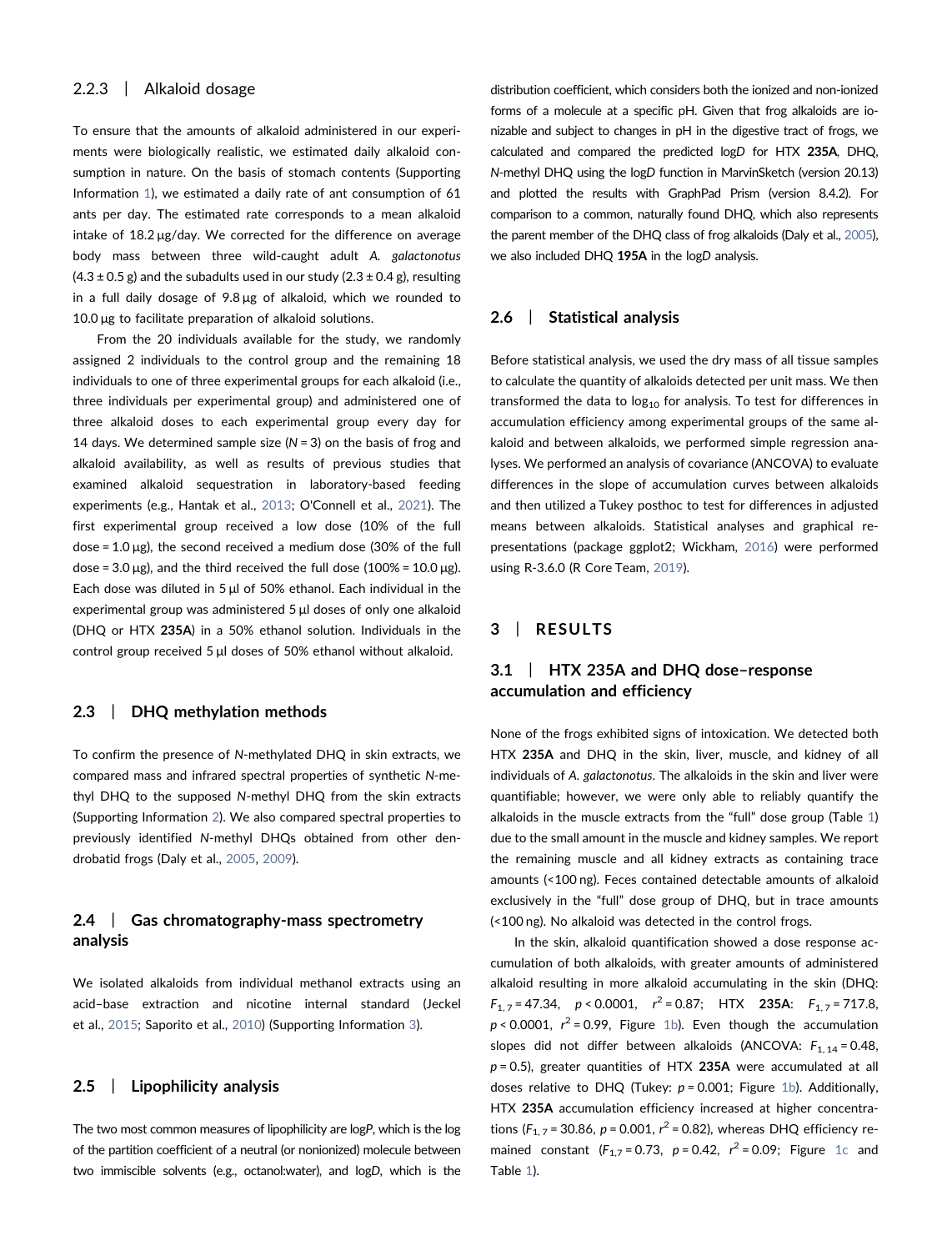## 2.2.3 | Alkaloid dosage

To ensure that the amounts of alkaloid administered in our experiments were biologically realistic, we estimated daily alkaloid consumption in nature. On the basis of stomach contents (Supporting Information 1), we estimated a daily rate of ant consumption of 61 ants per day. The estimated rate corresponds to a mean alkaloid intake of 18.2 μg/day. We corrected for the difference on average body mass between three wild-caught adult A. galactonotus  $(4.3 \pm 0.5 \text{ g})$  and the subadults used in our study  $(2.3 \pm 0.4 \text{ g})$ , resulting in a full daily dosage of 9.8 μg of alkaloid, which we rounded to 10.0 μg to facilitate preparation of alkaloid solutions.

From the 20 individuals available for the study, we randomly assigned 2 individuals to the control group and the remaining 18 individuals to one of three experimental groups for each alkaloid (i.e., three individuals per experimental group) and administered one of three alkaloid doses to each experimental group every day for 14 days. We determined sample size ( $N = 3$ ) on the basis of frog and alkaloid availability, as well as results of previous studies that examined alkaloid sequestration in laboratory‐based feeding experiments (e.g., Hantak et al., [2013](#page-10-14); O'Connell et al., [2021\)](#page-10-13). The first experimental group received a low dose (10% of the full dose = 1.0 μg), the second received a medium dose (30% of the full dose =  $3.0 \mu$ g), and the third received the full dose (100% =  $10.0 \mu$ g). Each dose was diluted in 5 μl of 50% ethanol. Each individual in the experimental group was administered 5 μl doses of only one alkaloid (DHQ or HTX 235A) in a 50% ethanol solution. Individuals in the control group received 5 μl doses of 50% ethanol without alkaloid.

## 2.3 | DHQ methylation methods

To confirm the presence of N‐methylated DHQ in skin extracts, we compared mass and infrared spectral properties of synthetic N‐methyl DHQ to the supposed N‐methyl DHQ from the skin extracts (Supporting Information 2). We also compared spectral properties to previously identified N-methyl DHQs obtained from other dendrobatid frogs (Daly et al., [2005,](#page-9-17) [2009\)](#page-9-9).

## 2.4 Gas chromatography-mass spectrometry analysis

We isolated alkaloids from individual methanol extracts using an acid–base extraction and nicotine internal standard (Jeckel et al., [2015](#page-10-20); Saporito et al., [2010\)](#page-11-12) (Supporting Information 3).

## 2.5 | Lipophilicity analysis

The two most common measures of lipophilicity are logP, which is the log of the partition coefficient of a neutral (or nonionized) molecule between two immiscible solvents (e.g., octanol:water), and logD, which is the distribution coefficient, which considers both the ionized and non‐ionized forms of a molecule at a specific pH. Given that frog alkaloids are ionizable and subject to changes in pH in the digestive tract of frogs, we calculated and compared the predicted logD for HTX 235A, DHQ, N‐methyl DHQ using the logD function in MarvinSketch (version 20.13) and plotted the results with GraphPad Prism (version 8.4.2). For comparison to a common, naturally found DHQ, which also represents the parent member of the DHQ class of frog alkaloids (Daly et al., [2005\)](#page-9-17), we also included DHQ 195A in the logD analysis.

## 2.6 | Statistical analysis

Before statistical analysis, we used the dry mass of all tissue samples to calculate the quantity of alkaloids detected per unit mass. We then transformed the data to  $log_{10}$  for analysis. To test for differences in accumulation efficiency among experimental groups of the same alkaloid and between alkaloids, we performed simple regression analyses. We performed an analysis of covariance (ANCOVA) to evaluate differences in the slope of accumulation curves between alkaloids and then utilized a Tukey posthoc to test for differences in adjusted means between alkaloids. Statistical analyses and graphical representations (package ggplot2; Wickham, [2016](#page-11-13)) were performed using R‐3.6.0 (R Core Team, [2019](#page-10-21)).

## 3 | RESULTS

## 3.1 | HTX 235A and DHQ dose–response accumulation and efficiency

None of the frogs exhibited signs of intoxication. We detected both HTX 235A and DHQ in the skin, liver, muscle, and kidney of all individuals of A. galactonotus. The alkaloids in the skin and liver were quantifiable; however, we were only able to reliably quantify the alkaloids in the muscle extracts from the "full" dose group (Table [1](#page-6-0)) due to the small amount in the muscle and kidney samples. We report the remaining muscle and all kidney extracts as containing trace amounts (<100 ng). Feces contained detectable amounts of alkaloid exclusively in the "full" dose group of DHQ, but in trace amounts (<100 ng). No alkaloid was detected in the control frogs.

In the skin, alkaloid quantification showed a dose response accumulation of both alkaloids, with greater amounts of administered alkaloid resulting in more alkaloid accumulating in the skin (DHQ:  $F_{1,7} = 47.34$ ,  $p < 0.0001$ ,  $r^2 = 0.87$ ; HTX 235A:  $F_{1,7} = 717.8$ ,  $p < 0.0001$ ,  $r^2 = 0.99$ , Figure [1b](#page-4-0)). Even though the accumulation slopes did not differ between alkaloids (ANCOVA:  $F_{1, 14} = 0.48$ ,  $p = 0.5$ ), greater quantities of HTX 235A were accumulated at all doses relative to DHQ (Tukey:  $p = 0.001$ ; Figure [1b\)](#page-4-0). Additionally, HTX 235A accumulation efficiency increased at higher concentrations ( $F_{1,7}$  = 30.86, p = 0.001,  $r^2$  = 0.82), whereas DHQ efficiency remained constant  $(F_{1,7} = 0.73, p = 0.42, r^2 = 0.09;$  Figure [1c](#page-4-0) and Table [1](#page-6-0)).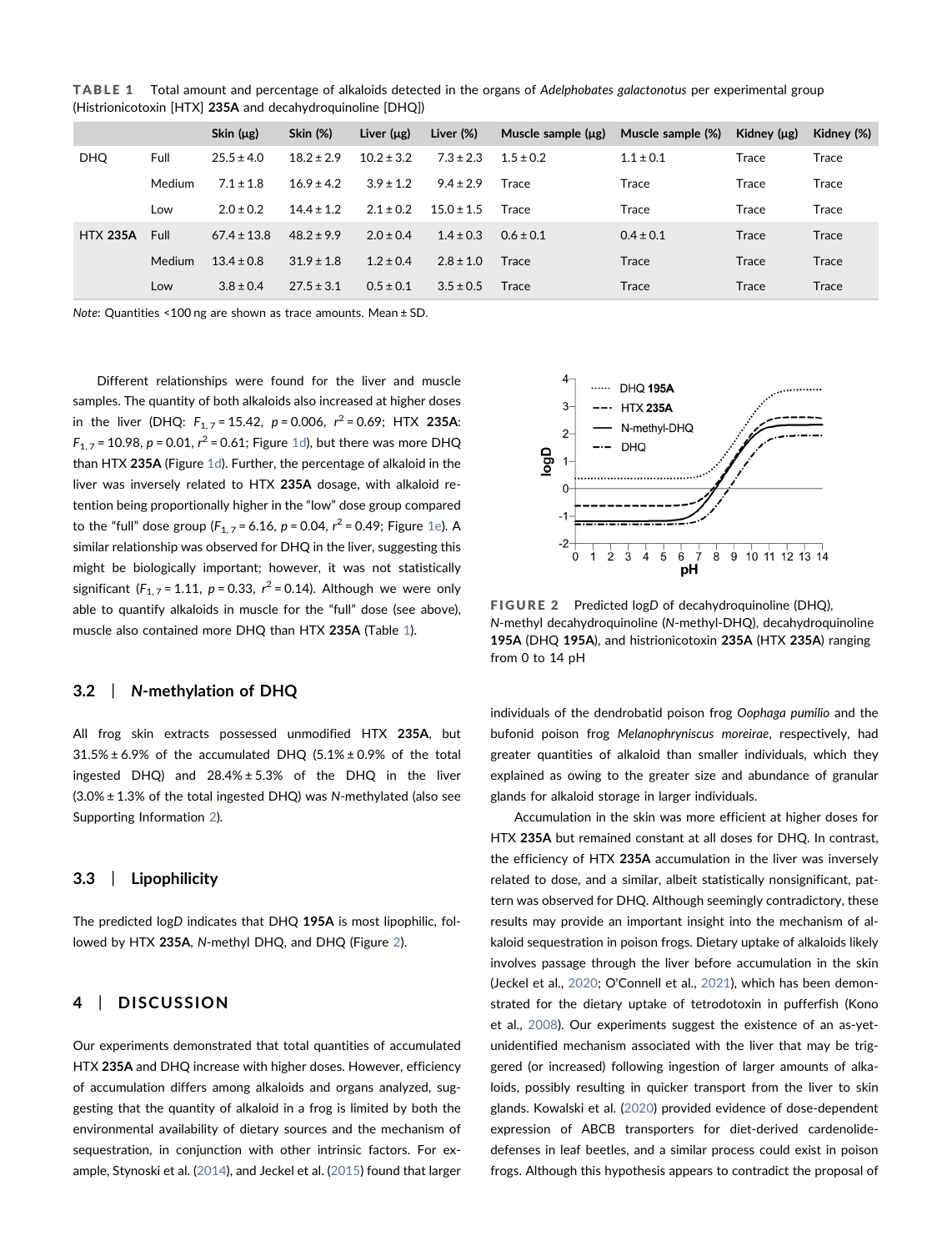<span id="page-6-0"></span>TABLE 1 Total amount and percentage of alkaloids detected in the organs of Adelphobates galactonotus per experimental group (Histrionicotoxin [HTX] 235A and decahydroquinoline [DHQ])

|                 |        | Skin $(\mu g)$  | <b>Skin (%)</b> | Liver $(\mu g)$ | Liver $(\%)$   | Muscle sample $(\mu g)$ | Muscle sample (%) | Kidney (µg)  | Kidney (%) |
|-----------------|--------|-----------------|-----------------|-----------------|----------------|-------------------------|-------------------|--------------|------------|
| <b>DHQ</b>      | Full   | $25.5 \pm 4.0$  | $18.2 \pm 2.9$  | $10.2 \pm 3.2$  | $7.3 \pm 2.3$  | $1.5 + 0.2$             | $1.1 \pm 0.1$     | Trace        | Trace      |
|                 | Medium | $7.1 \pm 1.8$   | $16.9 + 4.2$    | $3.9 \pm 1.2$   | $9.4 \pm 2.9$  | Trace                   | Trace             | Trace        | Trace      |
|                 | Low    | $2.0 \pm 0.2$   | $14.4 \pm 1.2$  | $2.1 \pm 0.2$   | $15.0 \pm 1.5$ | Trace                   | Trace             | Trace        | Trace      |
| <b>HTX 235A</b> | Full   | $67.4 \pm 13.8$ | $48.2 \pm 9.9$  | $2.0 \pm 0.4$   | $1.4 \pm 0.3$  | $0.6 \pm 0.1$           | $0.4 \pm 0.1$     | Trace        | Trace      |
|                 | Medium | $13.4 \pm 0.8$  | $31.9 \pm 1.8$  | $1.2 \pm 0.4$   | $2.8 \pm 1.0$  | Trace                   | Trace             | <b>Trace</b> | Trace      |
|                 | Low    | $3.8 \pm 0.4$   | $27.5 \pm 3.1$  | $0.5 \pm 0.1$   | $3.5 \pm 0.5$  | Trace                   | Trace             | <b>Trace</b> | Trace      |

Note: Quantities <100 ng are shown as trace amounts. Mean ± SD.

Different relationships were found for the liver and muscle samples. The quantity of both alkaloids also increased at higher doses in the liver (DHQ:  $F_{1,7}$  = 15.42,  $p$  = 0.006,  $r^2$  = 0.69; HTX 235A:  $F_{1,7}$  = 10.98, p = 0.01,  $r^2$  = 0.61; Figure [1d\)](#page-4-0), but there was more DHQ than HTX 235A (Figure [1d\)](#page-4-0). Further, the percentage of alkaloid in the liver was inversely related to HTX 235A dosage, with alkaloid retention being proportionally higher in the "low" dose group compared to the "full" dose group ( $F_{1,7}$  = 6.16, p = 0.04,  $r^2$  = 0.49; Figure [1e](#page-4-0)). A similar relationship was observed for DHQ in the liver, suggesting this might be biologically important; however, it was not statistically significant ( $F_{1,7}$  = 1.11,  $p$  = 0.33,  $r^2$  = 0.14). Although we were only able to quantify alkaloids in muscle for the "full" dose (see above), muscle also contained more DHQ than HTX 235A (Table [1\)](#page-6-0).

### 3.2 | N‐methylation of DHQ

All frog skin extracts possessed unmodified HTX 235A, but  $31.5\% \pm 6.9\%$  of the accumulated DHQ (5.1% $\pm$ 0.9% of the total ingested DHQ) and  $28.4\% \pm 5.3\%$  of the DHQ in the liver  $(3.0% \pm 1.3%$  of the total ingested DHQ) was N-methylated (also see Supporting Information 2).

### 3.3 | Lipophilicity

The predicted logD indicates that DHQ 195A is most lipophilic, fol-lowed by HTX 235A, N-methyl DHQ, and DHQ (Figure [2\)](#page-6-1).

## 4 | DISCUSSION

Our experiments demonstrated that total quantities of accumulated HTX 235A and DHQ increase with higher doses. However, efficiency of accumulation differs among alkaloids and organs analyzed, suggesting that the quantity of alkaloid in a frog is limited by both the environmental availability of dietary sources and the mechanism of sequestration, in conjunction with other intrinsic factors. For example, Stynoski et al. [\(2014\)](#page-11-10), and Jeckel et al. ([2015](#page-10-22)) found that larger

<span id="page-6-1"></span>

FIGURE 2 Predicted logD of decahydroquinoline (DHQ), N‐methyl decahydroquinoline (N‐methyl‐DHQ), decahydroquinoline 195A (DHQ 195A), and histrionicotoxin 235A (HTX 235A) ranging from 0 to 14 pH

individuals of the dendrobatid poison frog Oophaga pumilio and the bufonid poison frog Melanophryniscus moreirae, respectively, had greater quantities of alkaloid than smaller individuals, which they explained as owing to the greater size and abundance of granular glands for alkaloid storage in larger individuals.

Accumulation in the skin was more efficient at higher doses for HTX 235A but remained constant at all doses for DHQ. In contrast, the efficiency of HTX 235A accumulation in the liver was inversely related to dose, and a similar, albeit statistically nonsignificant, pattern was observed for DHQ. Although seemingly contradictory, these results may provide an important insight into the mechanism of alkaloid sequestration in poison frogs. Dietary uptake of alkaloids likely involves passage through the liver before accumulation in the skin (Jeckel et al., [2020](#page-10-23); O'Connell et al., [2021](#page-10-13)), which has been demonstrated for the dietary uptake of tetrodotoxin in pufferfish (Kono et al., [2008\)](#page-10-24). Our experiments suggest the existence of an as-yetunidentified mechanism associated with the liver that may be triggered (or increased) following ingestion of larger amounts of alkaloids, possibly resulting in quicker transport from the liver to skin glands. Kowalski et al. ([2020](#page-10-25)) provided evidence of dose‐dependent expression of ABCB transporters for diet-derived cardenolidedefenses in leaf beetles, and a similar process could exist in poison frogs. Although this hypothesis appears to contradict the proposal of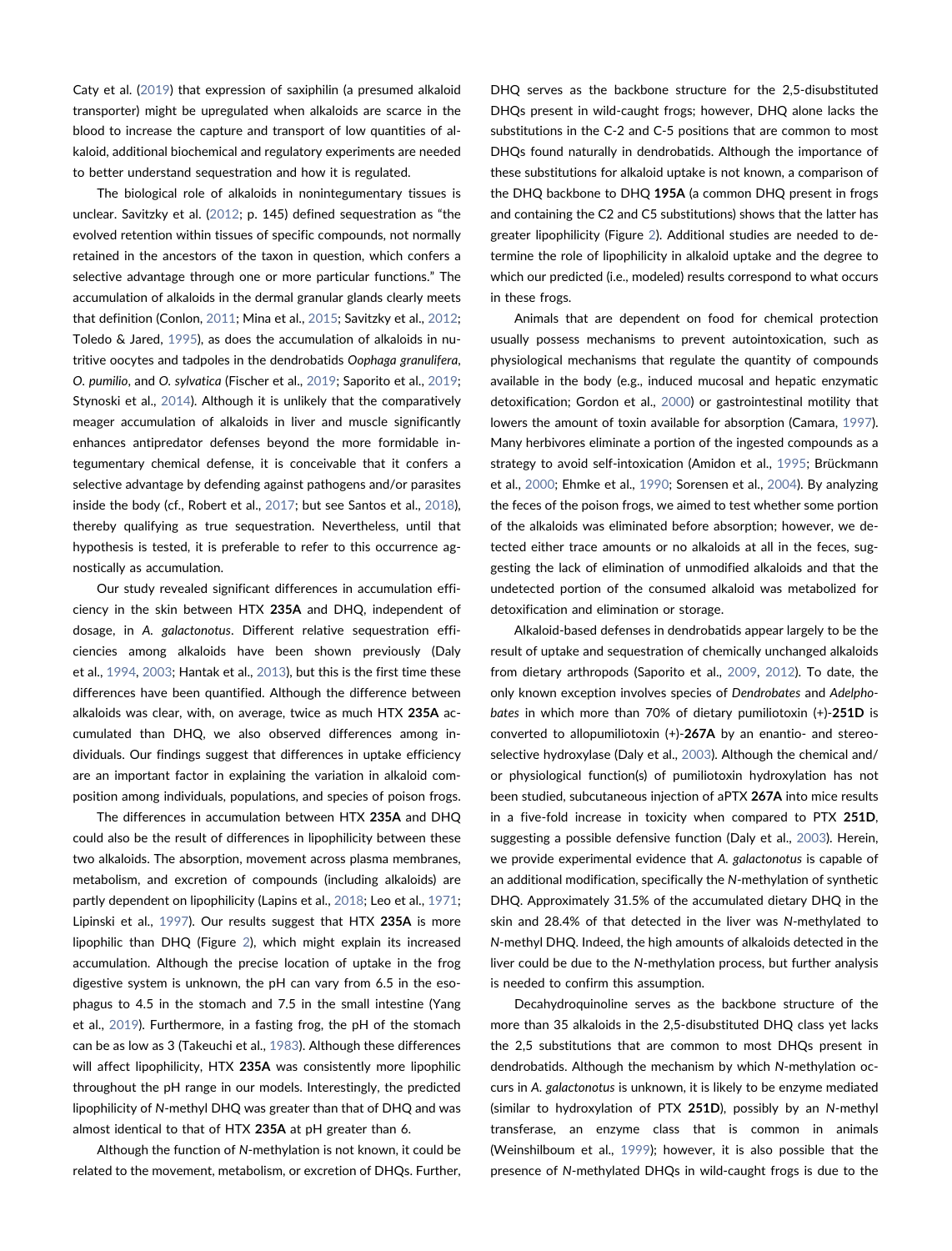Caty et al. ([2019](#page-9-18)) that expression of saxiphilin (a presumed alkaloid transporter) might be upregulated when alkaloids are scarce in the blood to increase the capture and transport of low quantities of alkaloid, additional biochemical and regulatory experiments are needed to better understand sequestration and how it is regulated.

The biological role of alkaloids in nonintegumentary tissues is unclear. Savitzky et al. [\(2012;](#page-11-0) p. 145) defined sequestration as "the evolved retention within tissues of specific compounds, not normally retained in the ancestors of the taxon in question, which confers a selective advantage through one or more particular functions." The accumulation of alkaloids in the dermal granular glands clearly meets that definition (Conlon, [2011;](#page-9-19) Mina et al., [2015](#page-10-26); Savitzky et al., [2012](#page-11-0); Toledo & Jared, [1995\)](#page-11-14), as does the accumulation of alkaloids in nutritive oocytes and tadpoles in the dendrobatids Oophaga granulifera, O. pumilio, and O. sylvatica (Fischer et al., [2019](#page-9-20); Saporito et al., [2019](#page-11-6); Stynoski et al., [2014](#page-11-10)). Although it is unlikely that the comparatively meager accumulation of alkaloids in liver and muscle significantly enhances antipredator defenses beyond the more formidable integumentary chemical defense, it is conceivable that it confers a selective advantage by defending against pathogens and/or parasites inside the body (cf., Robert et al., [2017;](#page-11-15) but see Santos et al., [2018](#page-11-16)), thereby qualifying as true sequestration. Nevertheless, until that hypothesis is tested, it is preferable to refer to this occurrence agnostically as accumulation.

Our study revealed significant differences in accumulation efficiency in the skin between HTX 235A and DHQ, independent of dosage, in A. galactonotus. Different relative sequestration efficiencies among alkaloids have been shown previously (Daly et al., [1994](#page-9-10), [2003;](#page-9-4) Hantak et al., [2013](#page-10-14)), but this is the first time these differences have been quantified. Although the difference between alkaloids was clear, with, on average, twice as much HTX 235A accumulated than DHQ, we also observed differences among individuals. Our findings suggest that differences in uptake efficiency are an important factor in explaining the variation in alkaloid composition among individuals, populations, and species of poison frogs.

The differences in accumulation between HTX 235A and DHQ could also be the result of differences in lipophilicity between these two alkaloids. The absorption, movement across plasma membranes, metabolism, and excretion of compounds (including alkaloids) are partly dependent on lipophilicity (Lapins et al., [2018;](#page-10-5) Leo et al., [1971](#page-10-6); Lipinski et al., [1997](#page-10-7)). Our results suggest that HTX 235A is more lipophilic than DHQ (Figure [2\)](#page-6-1), which might explain its increased accumulation. Although the precise location of uptake in the frog digestive system is unknown, the pH can vary from 6.5 in the esophagus to 4.5 in the stomach and 7.5 in the small intestine (Yang et al., [2019\)](#page-11-17). Furthermore, in a fasting frog, the pH of the stomach can be as low as 3 (Takeuchi et al., [1983](#page-11-18)). Although these differences will affect lipophilicity, HTX 235A was consistently more lipophilic throughout the pH range in our models. Interestingly, the predicted lipophilicity of N‐methyl DHQ was greater than that of DHQ and was almost identical to that of HTX 235A at pH greater than 6.

Although the function of N‐methylation is not known, it could be related to the movement, metabolism, or excretion of DHQs. Further,

DHQ serves as the backbone structure for the 2,5-disubstituted DHQs present in wild-caught frogs; however, DHQ alone lacks the substitutions in the C‐2 and C‐5 positions that are common to most DHQs found naturally in dendrobatids. Although the importance of these substitutions for alkaloid uptake is not known, a comparison of the DHQ backbone to DHQ 195A (a common DHQ present in frogs and containing the C2 and C5 substitutions) shows that the latter has greater lipophilicity (Figure [2](#page-6-1)). Additional studies are needed to determine the role of lipophilicity in alkaloid uptake and the degree to which our predicted (i.e., modeled) results correspond to what occurs in these frogs.

Animals that are dependent on food for chemical protection usually possess mechanisms to prevent autointoxication, such as physiological mechanisms that regulate the quantity of compounds available in the body (e.g., induced mucosal and hepatic enzymatic detoxification; Gordon et al., [2000](#page-9-21)) or gastrointestinal motility that lowers the amount of toxin available for absorption (Camara, [1997\)](#page-9-22). Many herbivores eliminate a portion of the ingested compounds as a strategy to avoid self‐intoxication (Amidon et al., [1995;](#page-9-23) Brückmann et al., [2000](#page-9-24); Ehmke et al., [1990;](#page-9-25) Sorensen et al., [2004\)](#page-11-8). By analyzing the feces of the poison frogs, we aimed to test whether some portion of the alkaloids was eliminated before absorption; however, we detected either trace amounts or no alkaloids at all in the feces, suggesting the lack of elimination of unmodified alkaloids and that the undetected portion of the consumed alkaloid was metabolized for detoxification and elimination or storage.

Alkaloid‐based defenses in dendrobatids appear largely to be the result of uptake and sequestration of chemically unchanged alkaloids from dietary arthropods (Saporito et al., [2009,](#page-11-3) [2012](#page-11-1)). To date, the only known exception involves species of Dendrobates and Adelphobates in which more than 70% of dietary pumiliotoxin (+)‐251D is converted to allopumiliotoxin (+)‐267A by an enantio‐ and stereoselective hydroxylase (Daly et al., [2003](#page-9-4)). Although the chemical and/ or physiological function(s) of pumiliotoxin hydroxylation has not been studied, subcutaneous injection of aPTX 267A into mice results in a five-fold increase in toxicity when compared to PTX 251D, suggesting a possible defensive function (Daly et al., [2003\)](#page-9-4). Herein, we provide experimental evidence that A. galactonotus is capable of an additional modification, specifically the N-methylation of synthetic DHQ. Approximately 31.5% of the accumulated dietary DHQ in the skin and 28.4% of that detected in the liver was N‐methylated to N‐methyl DHQ. Indeed, the high amounts of alkaloids detected in the liver could be due to the N‐methylation process, but further analysis is needed to confirm this assumption.

Decahydroquinoline serves as the backbone structure of the more than 35 alkaloids in the 2,5‐disubstituted DHQ class yet lacks the 2,5 substitutions that are common to most DHQs present in dendrobatids. Although the mechanism by which N‐methylation occurs in A. galactonotus is unknown, it is likely to be enzyme mediated (similar to hydroxylation of PTX 251D), possibly by an N‐methyl transferase, an enzyme class that is common in animals (Weinshilboum et al., [1999\)](#page-11-19); however, it is also possible that the presence of N‐methylated DHQs in wild‐caught frogs is due to the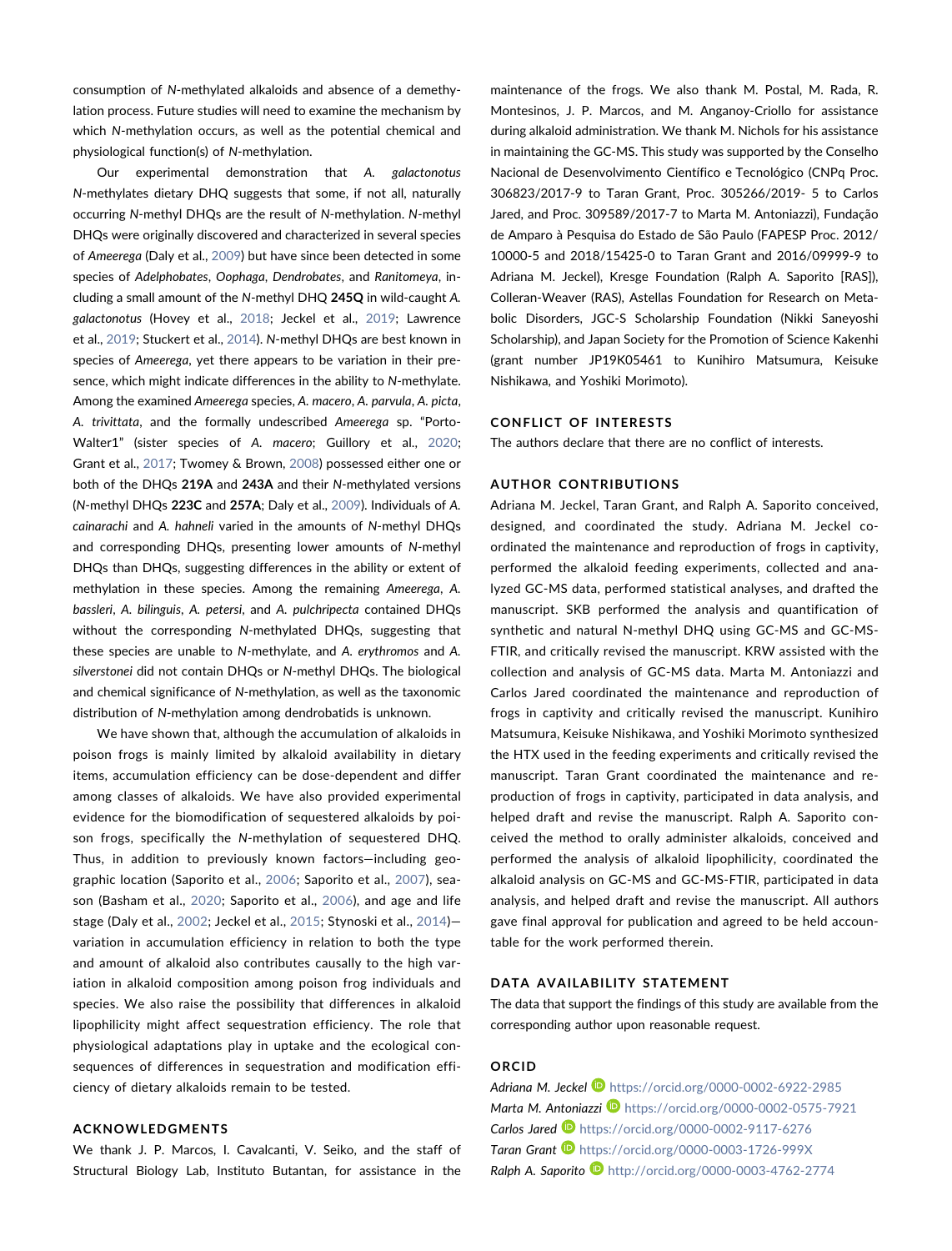consumption of N‐methylated alkaloids and absence of a demethylation process. Future studies will need to examine the mechanism by which N-methylation occurs, as well as the potential chemical and physiological function(s) of N‐methylation.

Our experimental demonstration that A. galactonotus N‐methylates dietary DHQ suggests that some, if not all, naturally occurring N‐methyl DHQs are the result of N‐methylation. N‐methyl DHQs were originally discovered and characterized in several species of Ameerega (Daly et al., [2009\)](#page-9-9) but have since been detected in some species of Adelphobates, Oophaga, Dendrobates, and Ranitomeya, including a small amount of the N-methyl DHQ 245Q in wild-caught A. galactonotus (Hovey et al., [2018;](#page-10-27) Jeckel et al., [2019](#page-10-9); Lawrence et al., [2019](#page-10-28); Stuckert et al., [2014](#page-11-20)). N‐methyl DHQs are best known in species of Ameerega, yet there appears to be variation in their presence, which might indicate differences in the ability to N-methylate. Among the examined Ameerega species, A. macero, A. parvula, A. picta, A. trivittata, and the formally undescribed Ameerega sp. "Porto-Walter1" (sister species of A. macero; Guillory et al., [2020](#page-9-26); Grant et al., [2017](#page-9-5); Twomey & Brown, [2008\)](#page-11-21) possessed either one or both of the DHQs 219A and 243A and their N-methylated versions (N‐methyl DHQs 223C and 257A; Daly et al., [2009\)](#page-9-9). Individuals of A. cainarachi and A. hahneli varied in the amounts of N‐methyl DHQs and corresponding DHQs, presenting lower amounts of N-methyl DHQs than DHQs, suggesting differences in the ability or extent of methylation in these species. Among the remaining Ameerega, A. bassleri, A. bilinguis, A. petersi, and A. pulchripecta contained DHQs without the corresponding N-methylated DHQs, suggesting that these species are unable to N‐methylate, and A. erythromos and A. silverstonei did not contain DHQs or N-methyl DHQs. The biological and chemical significance of N‐methylation, as well as the taxonomic distribution of N‐methylation among dendrobatids is unknown.

We have shown that, although the accumulation of alkaloids in poison frogs is mainly limited by alkaloid availability in dietary items, accumulation efficiency can be dose‐dependent and differ among classes of alkaloids. We have also provided experimental evidence for the biomodification of sequestered alkaloids by poison frogs, specifically the N-methylation of sequestered DHQ. Thus, in addition to previously known factors—including geographic location (Saporito et al., [2006](#page-11-22); Saporito et al., [2007](#page-11-23)), season (Basham et al., [2020;](#page-9-27) Saporito et al., [2006\)](#page-11-22), and age and life stage (Daly et al., [2002](#page-9-28); Jeckel et al., [2015;](#page-10-22) Stynoski et al., [2014\)](#page-11-10) variation in accumulation efficiency in relation to both the type and amount of alkaloid also contributes causally to the high variation in alkaloid composition among poison frog individuals and species. We also raise the possibility that differences in alkaloid lipophilicity might affect sequestration efficiency. The role that physiological adaptations play in uptake and the ecological consequences of differences in sequestration and modification efficiency of dietary alkaloids remain to be tested.

### ACKNOWLEDGMENTS

We thank J. P. Marcos, I. Cavalcanti, V. Seiko, and the staff of Structural Biology Lab, Instituto Butantan, for assistance in the maintenance of the frogs. We also thank M. Postal, M. Rada, R. Montesinos, J. P. Marcos, and M. Anganoy‐Criollo for assistance during alkaloid administration. We thank M. Nichols for his assistance in maintaining the GC‐MS. This study was supported by the Conselho Nacional de Desenvolvimento Científico e Tecnológico (CNPq Proc. 306823/2017‐9 to Taran Grant, Proc. 305266/2019‐ 5 to Carlos Jared, and Proc. 309589/2017‐7 to Marta M. Antoniazzi), Fundação de Amparo à Pesquisa do Estado de São Paulo (FAPESP Proc. 2012/ 10000‐5 and 2018/15425‐0 to Taran Grant and 2016/09999‐9 to Adriana M. Jeckel), Kresge Foundation (Ralph A. Saporito [RAS]), Colleran‐Weaver (RAS), Astellas Foundation for Research on Metabolic Disorders, JGC‐S Scholarship Foundation (Nikki Saneyoshi Scholarship), and Japan Society for the Promotion of Science Kakenhi (grant number JP19K05461 to Kunihiro Matsumura, Keisuke Nishikawa, and Yoshiki Morimoto).

#### CONFLICT OF INTERESTS

The authors declare that there are no conflict of interests.

### AUTHOR CONTRIBUTIONS

Adriana M. Jeckel, Taran Grant, and Ralph A. Saporito conceived, designed, and coordinated the study. Adriana M. Jeckel coordinated the maintenance and reproduction of frogs in captivity, performed the alkaloid feeding experiments, collected and analyzed GC‐MS data, performed statistical analyses, and drafted the manuscript. SKB performed the analysis and quantification of synthetic and natural N‐methyl DHQ using GC‐MS and GC‐MS‐ FTIR, and critically revised the manuscript. KRW assisted with the collection and analysis of GC‐MS data. Marta M. Antoniazzi and Carlos Jared coordinated the maintenance and reproduction of frogs in captivity and critically revised the manuscript. Kunihiro Matsumura, Keisuke Nishikawa, and Yoshiki Morimoto synthesized the HTX used in the feeding experiments and critically revised the manuscript. Taran Grant coordinated the maintenance and reproduction of frogs in captivity, participated in data analysis, and helped draft and revise the manuscript. Ralph A. Saporito conceived the method to orally administer alkaloids, conceived and performed the analysis of alkaloid lipophilicity, coordinated the alkaloid analysis on GC‐MS and GC‐MS‐FTIR, participated in data analysis, and helped draft and revise the manuscript. All authors gave final approval for publication and agreed to be held accountable for the work performed therein.

#### DATA AVAILABILITY STATEMENT

The data that support the findings of this study are available from the corresponding author upon reasonable request.

#### ORCID

Adriana M. Jeckel D <https://orcid.org/0000-0002-6922-2985> Marta M. Antoniazzi <https://orcid.org/0000-0002-0575-7921> Carlos Jared <sup>1</sup> <https://orcid.org/0000-0002-9117-6276> Taran Grant **<https://orcid.org/0000-0003-1726-999X>** Ralph A. Saporito **b** <http://orcid.org/0000-0003-4762-2774>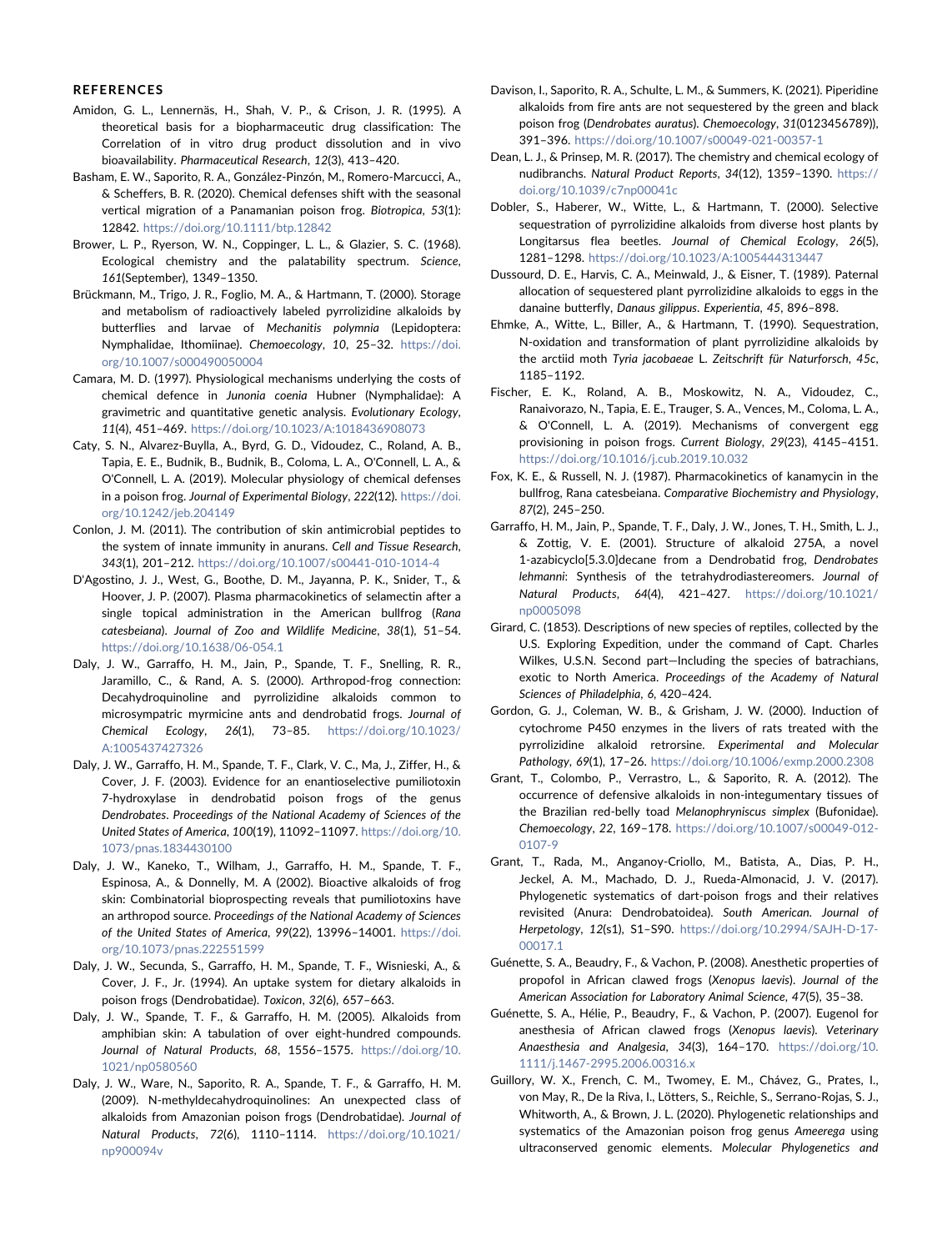#### REFERENCES

- <span id="page-9-23"></span>Amidon, G. L., Lennernäs, H., Shah, V. P., & Crison, J. R. (1995). A theoretical basis for a biopharmaceutic drug classification: The Correlation of in vitro drug product dissolution and in vivo bioavailability. Pharmaceutical Research, 12(3), 413–420.
- <span id="page-9-27"></span>Basham, E. W., Saporito, R. A., González‐Pinzón, M., Romero‐Marcucci, A., & Scheffers, B. R. (2020). Chemical defenses shift with the seasonal vertical migration of a Panamanian poison frog. Biotropica, 53(1): 12842. <https://doi.org/10.1111/btp.12842>
- <span id="page-9-1"></span>Brower, L. P., Ryerson, W. N., Coppinger, L. L., & Glazier, S. C. (1968). Ecological chemistry and the palatability spectrum. Science, 161(September), 1349–1350.
- <span id="page-9-24"></span>Brückmann, M., Trigo, J. R., Foglio, M. A., & Hartmann, T. (2000). Storage and metabolism of radioactively labeled pyrrolizidine alkaloids by butterflies and larvae of Mechanitis polymnia (Lepidoptera: Nymphalidae, Ithomiinae). Chemoecology, 10, 25–32. [https://doi.](https://doi.org/10.1007/s000490050004) [org/10.1007/s000490050004](https://doi.org/10.1007/s000490050004)
- <span id="page-9-22"></span>Camara, M. D. (1997). Physiological mechanisms underlying the costs of chemical defence in Junonia coenia Hubner (Nymphalidae): A gravimetric and quantitative genetic analysis. Evolutionary Ecology, 11(4), 451–469. <https://doi.org/10.1023/A:1018436908073>
- <span id="page-9-18"></span>Caty, S. N., Alvarez‐Buylla, A., Byrd, G. D., Vidoudez, C., Roland, A. B., Tapia, E. E., Budnik, B., Budnik, B., Coloma, L. A., O'Connell, L. A., & O'Connell, L. A. (2019). Molecular physiology of chemical defenses in a poison frog. Journal of Experimental Biology, 222(12). [https://doi.](https://doi.org/10.1242/jeb.204149) [org/10.1242/jeb.204149](https://doi.org/10.1242/jeb.204149)
- <span id="page-9-19"></span>Conlon, J. M. (2011). The contribution of skin antimicrobial peptides to the system of innate immunity in anurans. Cell and Tissue Research, 343(1), 201–212. <https://doi.org/10.1007/s00441-010-1014-4>
- <span id="page-9-12"></span>D'Agostino, J. J., West, G., Boothe, D. M., Jayanna, P. K., Snider, T., & Hoover, J. P. (2007). Plasma pharmacokinetics of selamectin after a single topical administration in the American bullfrog (Rana catesbeiana). Journal of Zoo and Wildlife Medicine, 38(1), 51–54. <https://doi.org/10.1638/06-054.1>
- <span id="page-9-7"></span>Daly, J. W., Garraffo, H. M., Jain, P., Spande, T. F., Snelling, R. R., Jaramillo, C., & Rand, A. S. (2000). Arthropod‐frog connection: Decahydroquinoline and pyrrolizidine alkaloids common to microsympatric myrmicine ants and dendrobatid frogs. Journal of Chemical Ecology, 26(1), 73–85. [https://doi.org/10.1023/](https://doi.org/10.1023/A:1005437427326) [A:1005437427326](https://doi.org/10.1023/A:1005437427326)
- <span id="page-9-4"></span>Daly, J. W., Garraffo, H. M., Spande, T. F., Clark, V. C., Ma, J., Ziffer, H., & Cover, J. F. (2003). Evidence for an enantioselective pumiliotoxin 7‐hydroxylase in dendrobatid poison frogs of the genus Dendrobates. Proceedings of the National Academy of Sciences of the United States of America, 100(19), 11092–11097. [https://doi.org/10.](https://doi.org/10.1073/pnas.1834430100) [1073/pnas.1834430100](https://doi.org/10.1073/pnas.1834430100)
- <span id="page-9-28"></span>Daly, J. W., Kaneko, T., Wilham, J., Garraffo, H. M., Spande, T. F., Espinosa, A., & Donnelly, M. A (2002). Bioactive alkaloids of frog skin: Combinatorial bioprospecting reveals that pumiliotoxins have an arthropod source. Proceedings of the National Academy of Sciences of the United States of America, 99(22), 13996–14001. [https://doi.](https://doi.org/10.1073/pnas.222551599) [org/10.1073/pnas.222551599](https://doi.org/10.1073/pnas.222551599)
- <span id="page-9-10"></span>Daly, J. W., Secunda, S., Garraffo, H. M., Spande, T. F., Wisnieski, A., & Cover, J. F., Jr. (1994). An uptake system for dietary alkaloids in poison frogs (Dendrobatidae). Toxicon, 32(6), 657–663.
- <span id="page-9-17"></span>Daly, J. W., Spande, T. F., & Garraffo, H. M. (2005). Alkaloids from amphibian skin: A tabulation of over eight‐hundred compounds. Journal of Natural Products, 68, 1556-1575. [https://doi.org/10.](https://doi.org/10.1021/np0580560) [1021/np0580560](https://doi.org/10.1021/np0580560)
- <span id="page-9-9"></span>Daly, J. W., Ware, N., Saporito, R. A., Spande, T. F., & Garraffo, H. M. (2009). N‐methyldecahydroquinolines: An unexpected class of alkaloids from Amazonian poison frogs (Dendrobatidae). Journal of Natural Products, 72(6), 1110–1114. [https://doi.org/10.1021/](https://doi.org/10.1021/np900094v) [np900094v](https://doi.org/10.1021/np900094v)
- <span id="page-9-8"></span>Davison, I., Saporito, R. A., Schulte, L. M., & Summers, K. (2021). Piperidine alkaloids from fire ants are not sequestered by the green and black poison frog (Dendrobates auratus). Chemoecology, 31(0123456789)), 391–396. <https://doi.org/10.1007/s00049-021-00357-1>
- <span id="page-9-2"></span>Dean, L. J., & Prinsep, M. R. (2017). The chemistry and chemical ecology of nudibranchs. Natural Product Reports, 34(12), 1359–1390. [https://](https://doi.org/10.1039/c7np00041c) [doi.org/10.1039/c7np00041c](https://doi.org/10.1039/c7np00041c)
- <span id="page-9-3"></span>Dobler, S., Haberer, W., Witte, L., & Hartmann, T. (2000). Selective sequestration of pyrrolizidine alkaloids from diverse host plants by Longitarsus flea beetles. Journal of Chemical Ecology, 26(5), 1281–1298. <https://doi.org/10.1023/A:1005444313447>
- <span id="page-9-0"></span>Dussourd, D. E., Harvis, C. A., Meinwald, J., & Eisner, T. (1989). Paternal allocation of sequestered plant pyrrolizidine alkaloids to eggs in the danaine butterfly, Danaus gilippus. Experientia, 45, 896–898.
- <span id="page-9-25"></span>Ehmke, A., Witte, L., Biller, A., & Hartmann, T. (1990). Sequestration, N‐oxidation and transformation of plant pyrrolizidine alkaloids by the arctiid moth Tyria jacobaeae L. Zeitschrift für Naturforsch, 45c, 1185–1192.
- <span id="page-9-20"></span>Fischer, E. K., Roland, A. B., Moskowitz, N. A., Vidoudez, C., Ranaivorazo, N., Tapia, E. E., Trauger, S. A., Vences, M., Coloma, L. A., & O'Connell, L. A. (2019). Mechanisms of convergent egg provisioning in poison frogs. Current Biology, 29(23), 4145–4151. <https://doi.org/10.1016/j.cub.2019.10.032>
- <span id="page-9-13"></span>Fox, K. E., & Russell, N. J. (1987). Pharmacokinetics of kanamycin in the bullfrog, Rana catesbeiana. Comparative Biochemistry and Physiology, 87(2), 245–250.
- <span id="page-9-6"></span>Garraffo, H. M., Jain, P., Spande, T. F., Daly, J. W., Jones, T. H., Smith, L. J., & Zottig, V. E. (2001). Structure of alkaloid 275A, a novel 1‐azabicyclo[5.3.0]decane from a Dendrobatid frog, Dendrobates lehmanni: Synthesis of the tetrahydrodiastereomers. Journal of Natural Products, 64(4), 421–427. [https://doi.org/10.1021/](https://doi.org/10.1021/np0005098) [np0005098](https://doi.org/10.1021/np0005098)
- <span id="page-9-11"></span>Girard, C. (1853). Descriptions of new species of reptiles, collected by the U.S. Exploring Expedition, under the command of Capt. Charles Wilkes, U.S.N. Second part—Including the species of batrachians, exotic to North America. Proceedings of the Academy of Natural Sciences of Philadelphia, 6, 420–424.
- <span id="page-9-21"></span>Gordon, G. J., Coleman, W. B., & Grisham, J. W. (2000). Induction of cytochrome P450 enzymes in the livers of rats treated with the pyrrolizidine alkaloid retrorsine. Experimental and Molecular Pathology, 69(1), 17-26. <https://doi.org/10.1006/exmp.2000.2308>
- <span id="page-9-16"></span>Grant, T., Colombo, P., Verrastro, L., & Saporito, R. A. (2012). The occurrence of defensive alkaloids in non‐integumentary tissues of the Brazilian red‐belly toad Melanophryniscus simplex (Bufonidae). Chemoecology, 22, 169–178. [https://doi.org/10.1007/s00049-012-](https://doi.org/10.1007/s00049-012-0107-9) [0107-9](https://doi.org/10.1007/s00049-012-0107-9)
- <span id="page-9-5"></span>Grant, T., Rada, M., Anganoy‐Criollo, M., Batista, A., Dias, P. H., Jeckel, A. M., Machado, D. J., Rueda‐Almonacid, J. V. (2017). Phylogenetic systematics of dart‐poison frogs and their relatives revisited (Anura: Dendrobatoidea). South American. Journal of Herpetology, 12(s1), S1–S90. [https://doi.org/10.2994/SAJH](https://doi.org/10.2994/SAJH-D-17-00017.1)‐D‐17‐ [00017.1](https://doi.org/10.2994/SAJH-D-17-00017.1)
- <span id="page-9-15"></span>Guénette, S. A., Beaudry, F., & Vachon, P. (2008). Anesthetic properties of propofol in African clawed frogs (Xenopus laevis). Journal of the American Association for Laboratory Animal Science, 47(5), 35–38.
- <span id="page-9-14"></span>Guénette, S. A., Hélie, P., Beaudry, F., & Vachon, P. (2007). Eugenol for anesthesia of African clawed frogs (Xenopus laevis). Veterinary Anaesthesia and Analgesia, 34(3), 164–170. [https://doi.org/10.](https://doi.org/10.1111/j.1467-2995.2006.00316.x) [1111/j.1467-2995.2006.00316.x](https://doi.org/10.1111/j.1467-2995.2006.00316.x)
- <span id="page-9-26"></span>Guillory, W. X., French, C. M., Twomey, E. M., Chávez, G., Prates, I., von May, R., De la Riva, I., Lötters, S., Reichle, S., Serrano‐Rojas, S. J., Whitworth, A., & Brown, J. L. (2020). Phylogenetic relationships and systematics of the Amazonian poison frog genus Ameerega using ultraconserved genomic elements. Molecular Phylogenetics and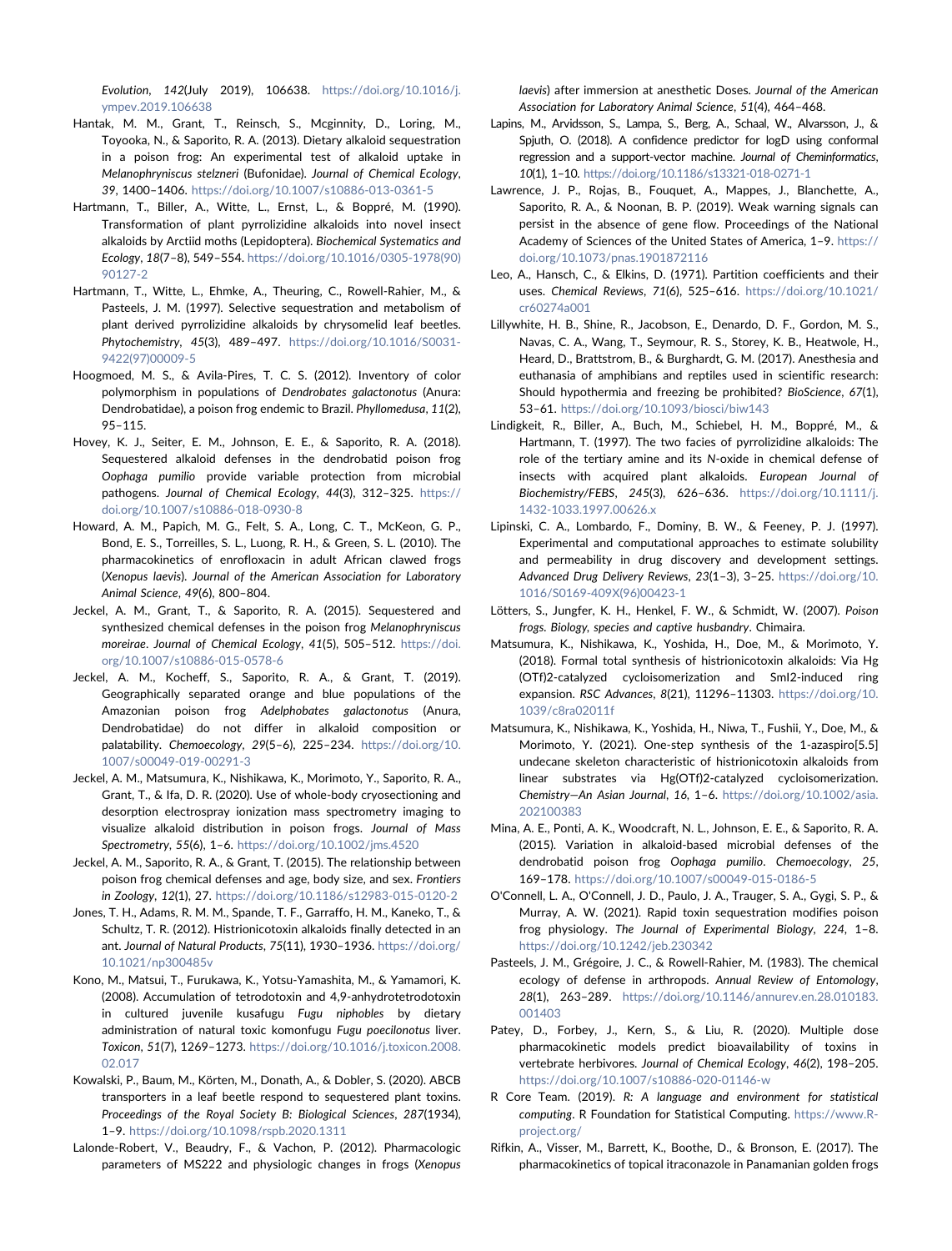Evolution, 142(July 2019), 106638. [https://doi.org/10.1016/j.](https://doi.org/10.1016/j.ympev.2019.106638) [ympev.2019.106638](https://doi.org/10.1016/j.ympev.2019.106638)

- <span id="page-10-14"></span>Hantak, M. M., Grant, T., Reinsch, S., Mcginnity, D., Loring, M., Toyooka, N., & Saporito, R. A. (2013). Dietary alkaloid sequestration in a poison frog: An experimental test of alkaloid uptake in Melanophryniscus stelzneri (Bufonidae). Journal of Chemical Ecology, 39, 1400–1406. <https://doi.org/10.1007/s10886-013-0361-5>
- <span id="page-10-2"></span>Hartmann, T., Biller, A., Witte, L., Ernst, L., & Boppré, M. (1990). Transformation of plant pyrrolizidine alkaloids into novel insect alkaloids by Arctiid moths (Lepidoptera). Biochemical Systematics and Ecology, 18(7–8), 549–554. [https://doi.org/10.1016/0305-1978\(90\)](https://doi.org/10.1016/0305-1978(90)90127-2) [90127-2](https://doi.org/10.1016/0305-1978(90)90127-2)
- <span id="page-10-1"></span>Hartmann, T., Witte, L., Ehmke, A., Theuring, C., Rowell‐Rahier, M., & Pasteels, J. M. (1997). Selective sequestration and metabolism of plant derived pyrrolizidine alkaloids by chrysomelid leaf beetles. Phytochemistry, 45(3), 489–497. [https://doi.org/10.1016/S0031-](https://doi.org/10.1016/S0031-9422(97)00009-5) [9422\(97\)00009-5](https://doi.org/10.1016/S0031-9422(97)00009-5)
- <span id="page-10-8"></span>Hoogmoed, M. S., & Avila‐Pires, T. C. S. (2012). Inventory of color polymorphism in populations of Dendrobates galactonotus (Anura: Dendrobatidae), a poison frog endemic to Brazil. Phyllomedusa, 11(2), 95–115.
- <span id="page-10-27"></span>Hovey, K. J., Seiter, E. M., Johnson, E. E., & Saporito, R. A. (2018). Sequestered alkaloid defenses in the dendrobatid poison frog Oophaga pumilio provide variable protection from microbial pathogens. Journal of Chemical Ecology, 44(3), 312-325. [https://](https://doi.org/10.1007/s10886-018-0930-8) [doi.org/10.1007/s10886-018-0930-8](https://doi.org/10.1007/s10886-018-0930-8)
- <span id="page-10-16"></span>Howard, A. M., Papich, M. G., Felt, S. A., Long, C. T., McKeon, G. P., Bond, E. S., Torreilles, S. L., Luong, R. H., & Green, S. L. (2010). The pharmacokinetics of enrofloxacin in adult African clawed frogs (Xenopus laevis). Journal of the American Association for Laboratory Animal Science, 49(6), 800–804.
- <span id="page-10-20"></span>Jeckel, A. M., Grant, T., & Saporito, R. A. (2015). Sequestered and synthesized chemical defenses in the poison frog Melanophryniscus moreirae. Journal of Chemical Ecology, 41(5), 505–512. [https://doi.](https://doi.org/10.1007/s10886-015-0578-6) [org/10.1007/s10886-015-0578-6](https://doi.org/10.1007/s10886-015-0578-6)
- <span id="page-10-9"></span>Jeckel, A. M., Kocheff, S., Saporito, R. A., & Grant, T. (2019). Geographically separated orange and blue populations of the Amazonian poison frog Adelphobates galactonotus (Anura, Dendrobatidae) do not differ in alkaloid composition or palatability. Chemoecology, 29(5–6), 225–234. [https://doi.org/10.](https://doi.org/10.1007/s00049-019-00291-3) [1007/s00049-019-00291-3](https://doi.org/10.1007/s00049-019-00291-3)
- <span id="page-10-23"></span>Jeckel, A. M., Matsumura, K., Nishikawa, K., Morimoto, Y., Saporito, R. A., Grant, T., & Ifa, D. R. (2020). Use of whole‐body cryosectioning and desorption electrospray ionization mass spectrometry imaging to visualize alkaloid distribution in poison frogs. Journal of Mass Spectrometry, 55(6), 1–6. <https://doi.org/10.1002/jms.4520>
- <span id="page-10-22"></span>Jeckel, A. M., Saporito, R. A., & Grant, T. (2015). The relationship between poison frog chemical defenses and age, body size, and sex. Frontiers in Zoology, 12(1), 27. <https://doi.org/10.1186/s12983-015-0120-2>
- <span id="page-10-4"></span>Jones, T. H., Adams, R. M. M., Spande, T. F., Garraffo, H. M., Kaneko, T., & Schultz, T. R. (2012). Histrionicotoxin alkaloids finally detected in an ant. Journal of Natural Products, 75(11), 1930–1936. [https://doi.org/](https://doi.org/10.1021/np300485v) [10.1021/np300485v](https://doi.org/10.1021/np300485v)
- <span id="page-10-24"></span>Kono, M., Matsui, T., Furukawa, K., Yotsu‐Yamashita, M., & Yamamori, K. (2008). Accumulation of tetrodotoxin and 4,9‐anhydrotetrodotoxin in cultured juvenile kusafugu Fugu niphobles by dietary administration of natural toxic komonfugu Fugu poecilonotus liver. Toxicon, 51(7), 1269–1273. [https://doi.org/10.1016/j.toxicon.2008.](https://doi.org/10.1016/j.toxicon.2008.02.017) [02.017](https://doi.org/10.1016/j.toxicon.2008.02.017)
- <span id="page-10-25"></span>Kowalski, P., Baum, M., Körten, M., Donath, A., & Dobler, S. (2020). ABCB transporters in a leaf beetle respond to sequestered plant toxins. Proceedings of the Royal Society B: Biological Sciences, 287(1934), 1–9. <https://doi.org/10.1098/rspb.2020.1311>
- <span id="page-10-17"></span>Lalonde‐Robert, V., Beaudry, F., & Vachon, P. (2012). Pharmacologic parameters of MS222 and physiologic changes in frogs (Xenopus

laevis) after immersion at anesthetic Doses. Journal of the American Association for Laboratory Animal Science, 51(4), 464–468.

- <span id="page-10-5"></span>Lapins, M., Arvidsson, S., Lampa, S., Berg, A., Schaal, W., Alvarsson, J., & Spjuth, O. (2018). A confidence predictor for logD using conformal regression and a support‐vector machine. Journal of Cheminformatics, 10(1), 1–10. <https://doi.org/10.1186/s13321-018-0271-1>
- <span id="page-10-28"></span>Lawrence, J. P., Rojas, B., Fouquet, A., Mappes, J., Blanchette, A., Saporito, R. A., & Noonan, B. P. (2019). Weak warning signals can persist in the absence of gene flow. Proceedings of the National Academy of Sciences of the United States of America, 1–9. [https://](https://doi.org/10.1073/pnas.1901872116) [doi.org/10.1073/pnas.1901872116](https://doi.org/10.1073/pnas.1901872116)
- <span id="page-10-6"></span>Leo, A., Hansch, C., & Elkins, D. (1971). Partition coefficients and their uses. Chemical Reviews, 71(6), 525–616. [https://doi.org/10.1021/](https://doi.org/10.1021/cr60274a001) [cr60274a001](https://doi.org/10.1021/cr60274a001)
- <span id="page-10-19"></span>Lillywhite, H. B., Shine, R., Jacobson, E., Denardo, D. F., Gordon, M. S., Navas, C. A., Wang, T., Seymour, R. S., Storey, K. B., Heatwole, H., Heard, D., Brattstrom, B., & Burghardt, G. M. (2017). Anesthesia and euthanasia of amphibians and reptiles used in scientific research: Should hypothermia and freezing be prohibited? BioScience, 67(1), 53–61. <https://doi.org/10.1093/biosci/biw143>
- <span id="page-10-3"></span>Lindigkeit, R., Biller, A., Buch, M., Schiebel, H. M., Boppré, M., & Hartmann, T. (1997). The two facies of pyrrolizidine alkaloids: The role of the tertiary amine and its N‐oxide in chemical defense of insects with acquired plant alkaloids. European Journal of Biochemistry/FEBS, 245(3), 626–636. [https://doi.org/10.1111/j.](https://doi.org/10.1111/j.1432-1033.1997.00626.x) [1432-1033.1997.00626.x](https://doi.org/10.1111/j.1432-1033.1997.00626.x)
- <span id="page-10-7"></span>Lipinski, C. A., Lombardo, F., Dominy, B. W., & Feeney, P. J. (1997). Experimental and computational approaches to estimate solubility and permeability in drug discovery and development settings. Advanced Drug Delivery Reviews, 23(1–3), 3–25. [https://doi.org/10.](https://doi.org/10.1016/S0169-409X(96)00423-1) [1016/S0169-409X\(96\)00423-1](https://doi.org/10.1016/S0169-409X(96)00423-1)
- <span id="page-10-10"></span>Lötters, S., Jungfer, K. H., Henkel, F. W., & Schmidt, W. (2007). Poison frogs. Biology, species and captive husbandry. Chimaira.
- <span id="page-10-11"></span>Matsumura, K., Nishikawa, K., Yoshida, H., Doe, M., & Morimoto, Y. (2018). Formal total synthesis of histrionicotoxin alkaloids: Via Hg (OTf)2‐catalyzed cycloisomerization and SmI2‐induced ring expansion. RSC Advances, 8(21), 11296–11303. [https://doi.org/10.](https://doi.org/10.1039/c8ra02011f) [1039/c8ra02011f](https://doi.org/10.1039/c8ra02011f)
- <span id="page-10-12"></span>Matsumura, K., Nishikawa, K., Yoshida, H., Niwa, T., Fushii, Y., Doe, M., & Morimoto, Y. (2021). One-step synthesis of the 1-azaspiro[5.5] undecane skeleton characteristic of histrionicotoxin alkaloids from linear substrates via Hg(OTf)2‐catalyzed cycloisomerization. Chemistry—An Asian Journal, 16, 1–6. [https://doi.org/10.1002/asia.](https://doi.org/10.1002/asia.202100383) [202100383](https://doi.org/10.1002/asia.202100383)
- <span id="page-10-26"></span>Mina, A. E., Ponti, A. K., Woodcraft, N. L., Johnson, E. E., & Saporito, R. A. (2015). Variation in alkaloid‐based microbial defenses of the dendrobatid poison frog Oophaga pumilio. Chemoecology, 25, 169–178. <https://doi.org/10.1007/s00049-015-0186-5>
- <span id="page-10-13"></span>O'Connell, L. A., O'Connell, J. D., Paulo, J. A., Trauger, S. A., Gygi, S. P., & Murray, A. W. (2021). Rapid toxin sequestration modifies poison frog physiology. The Journal of Experimental Biology, 224, 1–8. <https://doi.org/10.1242/jeb.230342>
- <span id="page-10-0"></span>Pasteels, J. M., Grégoire, J. C., & Rowell‐Rahier, M. (1983). The chemical ecology of defense in arthropods. Annual Review of Entomology, 28(1), 263–289. [https://doi.org/10.1146/annurev.en.28.010183.](https://doi.org/10.1146/annurev.en.28.010183.001403) [001403](https://doi.org/10.1146/annurev.en.28.010183.001403)
- <span id="page-10-15"></span>Patey, D., Forbey, J., Kern, S., & Liu, R. (2020). Multiple dose pharmacokinetic models predict bioavailability of toxins in vertebrate herbivores. Journal of Chemical Ecology, 46(2), 198–205. <https://doi.org/10.1007/s10886-020-01146-w>
- <span id="page-10-21"></span>R Core Team. (2019). R: A language and environment for statistical computing. R Foundation for Statistical Computing. [https://www.R](https://www.R-project.org/)[project.org/](https://www.R-project.org/)
- <span id="page-10-18"></span>Rifkin, A., Visser, M., Barrett, K., Boothe, D., & Bronson, E. (2017). The pharmacokinetics of topical itraconazole in Panamanian golden frogs